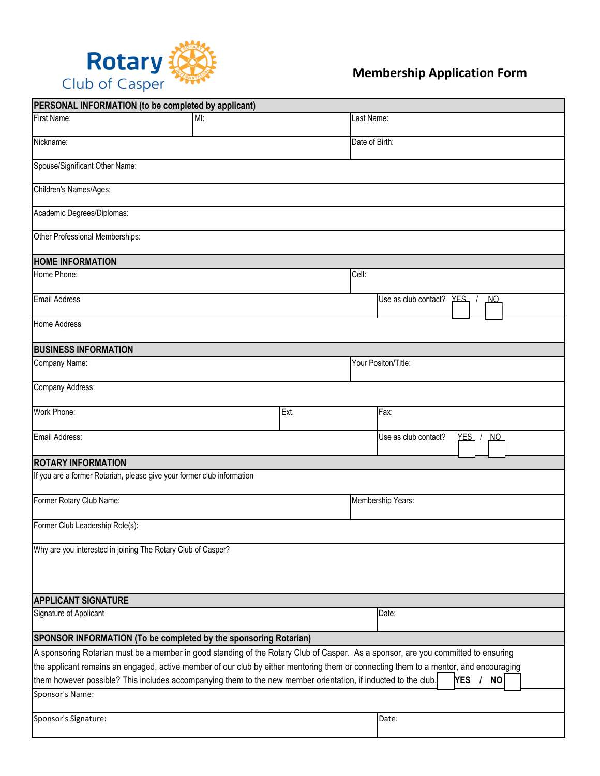

| PERSONAL INFORMATION (to be completed by applicant)                                                                                  |     |      |                     |                                                |            |           |  |  |  |
|--------------------------------------------------------------------------------------------------------------------------------------|-----|------|---------------------|------------------------------------------------|------------|-----------|--|--|--|
| First Name:                                                                                                                          | MI: |      | Last Name:          |                                                |            |           |  |  |  |
| Nickname:                                                                                                                            |     |      | Date of Birth:      |                                                |            |           |  |  |  |
| Spouse/Significant Other Name:                                                                                                       |     |      |                     |                                                |            |           |  |  |  |
| Children's Names/Ages:                                                                                                               |     |      |                     |                                                |            |           |  |  |  |
| Academic Degrees/Diplomas:                                                                                                           |     |      |                     |                                                |            |           |  |  |  |
| Other Professional Memberships:                                                                                                      |     |      |                     |                                                |            |           |  |  |  |
| <b>HOME INFORMATION</b>                                                                                                              |     |      |                     |                                                |            |           |  |  |  |
| Home Phone:                                                                                                                          |     |      | Cell:               |                                                |            |           |  |  |  |
| <b>Email Address</b>                                                                                                                 |     |      |                     | Use as club contact?<br>$YES$ /<br><u>_NO_</u> |            |           |  |  |  |
| <b>Home Address</b>                                                                                                                  |     |      |                     |                                                |            |           |  |  |  |
| <b>BUSINESS INFORMATION</b>                                                                                                          |     |      |                     |                                                |            |           |  |  |  |
| Company Name:                                                                                                                        |     |      | Your Positon/Title: |                                                |            |           |  |  |  |
| Company Address:                                                                                                                     |     |      |                     |                                                |            |           |  |  |  |
| Work Phone:                                                                                                                          |     | Ext. |                     | Fax:                                           |            |           |  |  |  |
| Email Address:                                                                                                                       |     |      |                     | Use as club contact?<br>YES /<br><u>NO</u>     |            |           |  |  |  |
| <b>ROTARY INFORMATION</b>                                                                                                            |     |      |                     |                                                |            |           |  |  |  |
| If you are a former Rotarian, please give your former club information                                                               |     |      |                     |                                                |            |           |  |  |  |
| Former Rotary Club Name:                                                                                                             |     |      | Membership Years:   |                                                |            |           |  |  |  |
| Former Club Leadership Role(s):                                                                                                      |     |      |                     |                                                |            |           |  |  |  |
| Why are you interested in joining The Rotary Club of Casper?                                                                         |     |      |                     |                                                |            |           |  |  |  |
|                                                                                                                                      |     |      |                     |                                                |            |           |  |  |  |
| <b>APPLICANT SIGNATURE</b>                                                                                                           |     |      |                     |                                                |            |           |  |  |  |
| Signature of Applicant                                                                                                               |     |      |                     | Date:                                          |            |           |  |  |  |
| SPONSOR INFORMATION (To be completed by the sponsoring Rotarian)                                                                     |     |      |                     |                                                |            |           |  |  |  |
| A sponsoring Rotarian must be a member in good standing of the Rotary Club of Casper. As a sponsor, are you committed to ensuring    |     |      |                     |                                                |            |           |  |  |  |
| the applicant remains an engaged, active member of our club by either mentoring them or connecting them to a mentor, and encouraging |     |      |                     |                                                |            |           |  |  |  |
| them however possible? This includes accompanying them to the new member orientation, if inducted to the club.                       |     |      |                     |                                                | <b>YES</b> | <b>NO</b> |  |  |  |
| Sponsor's Name:                                                                                                                      |     |      |                     |                                                |            |           |  |  |  |
| Sponsor's Signature:                                                                                                                 |     |      |                     | Date:                                          |            |           |  |  |  |